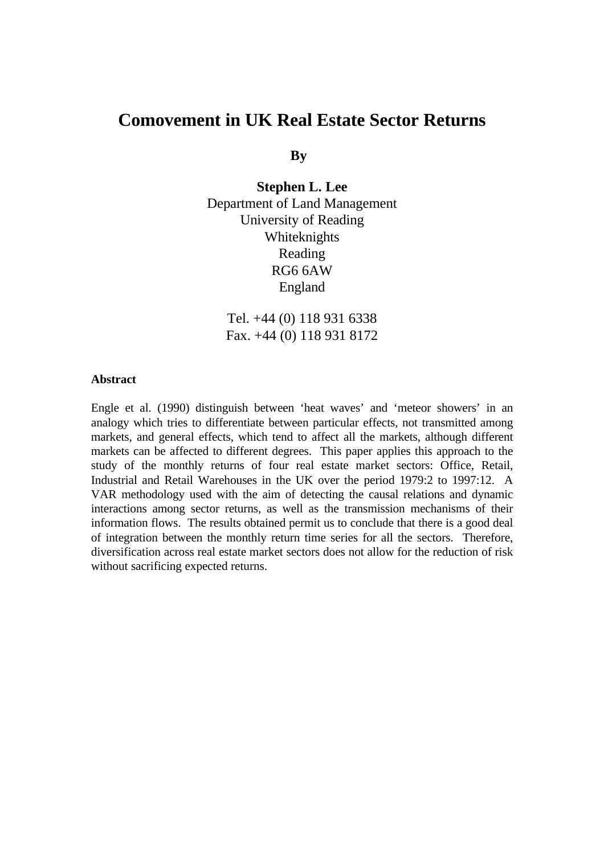# **Comovement in UK Real Estate Sector Returns**

**By**

**Stephen L. Lee** Department of Land Management University of Reading Whiteknights Reading RG6 6AW England

Tel. +44 (0) 118 931 6338 Fax. +44 (0) 118 931 8172

#### **Abstract**

Engle et al. (1990) distinguish between 'heat waves' and 'meteor showers' in an analogy which tries to differentiate between particular effects, not transmitted among markets, and general effects, which tend to affect all the markets, although different markets can be affected to different degrees. This paper applies this approach to the study of the monthly returns of four real estate market sectors: Office, Retail, Industrial and Retail Warehouses in the UK over the period 1979:2 to 1997:12. A VAR methodology used with the aim of detecting the causal relations and dynamic interactions among sector returns, as well as the transmission mechanisms of their information flows. The results obtained permit us to conclude that there is a good deal of integration between the monthly return time series for all the sectors. Therefore, diversification across real estate market sectors does not allow for the reduction of risk without sacrificing expected returns.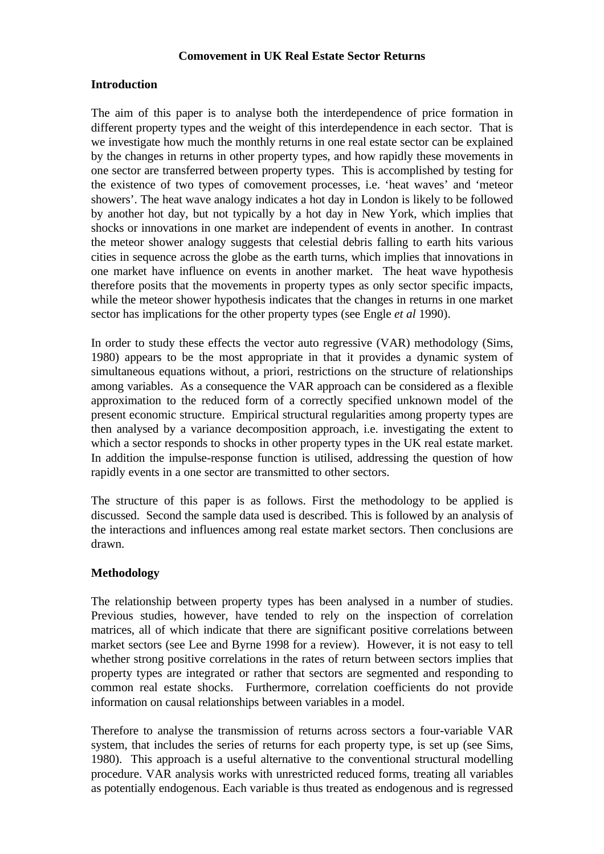### **Comovement in UK Real Estate Sector Returns**

## **Introduction**

The aim of this paper is to analyse both the interdependence of price formation in different property types and the weight of this interdependence in each sector. That is we investigate how much the monthly returns in one real estate sector can be explained by the changes in returns in other property types, and how rapidly these movements in one sector are transferred between property types. This is accomplished by testing for the existence of two types of comovement processes, i.e. 'heat waves' and 'meteor showers'. The heat wave analogy indicates a hot day in London is likely to be followed by another hot day, but not typically by a hot day in New York, which implies that shocks or innovations in one market are independent of events in another. In contrast the meteor shower analogy suggests that celestial debris falling to earth hits various cities in sequence across the globe as the earth turns, which implies that innovations in one market have influence on events in another market. The heat wave hypothesis therefore posits that the movements in property types as only sector specific impacts, while the meteor shower hypothesis indicates that the changes in returns in one market sector has implications for the other property types (see Engle *et al* 1990).

In order to study these effects the vector auto regressive (VAR) methodology (Sims, 1980) appears to be the most appropriate in that it provides a dynamic system of simultaneous equations without, a priori, restrictions on the structure of relationships among variables. As a consequence the VAR approach can be considered as a flexible approximation to the reduced form of a correctly specified unknown model of the present economic structure. Empirical structural regularities among property types are then analysed by a variance decomposition approach, i.e. investigating the extent to which a sector responds to shocks in other property types in the UK real estate market. In addition the impulse-response function is utilised, addressing the question of how rapidly events in a one sector are transmitted to other sectors.

The structure of this paper is as follows. First the methodology to be applied is discussed. Second the sample data used is described. This is followed by an analysis of the interactions and influences among real estate market sectors. Then conclusions are drawn.

## **Methodology**

The relationship between property types has been analysed in a number of studies. Previous studies, however, have tended to rely on the inspection of correlation matrices, all of which indicate that there are significant positive correlations between market sectors (see Lee and Byrne 1998 for a review). However, it is not easy to tell whether strong positive correlations in the rates of return between sectors implies that property types are integrated or rather that sectors are segmented and responding to common real estate shocks. Furthermore, correlation coefficients do not provide information on causal relationships between variables in a model.

Therefore to analyse the transmission of returns across sectors a four-variable VAR system, that includes the series of returns for each property type, is set up (see Sims, 1980). This approach is a useful alternative to the conventional structural modelling procedure. VAR analysis works with unrestricted reduced forms, treating all variables as potentially endogenous. Each variable is thus treated as endogenous and is regressed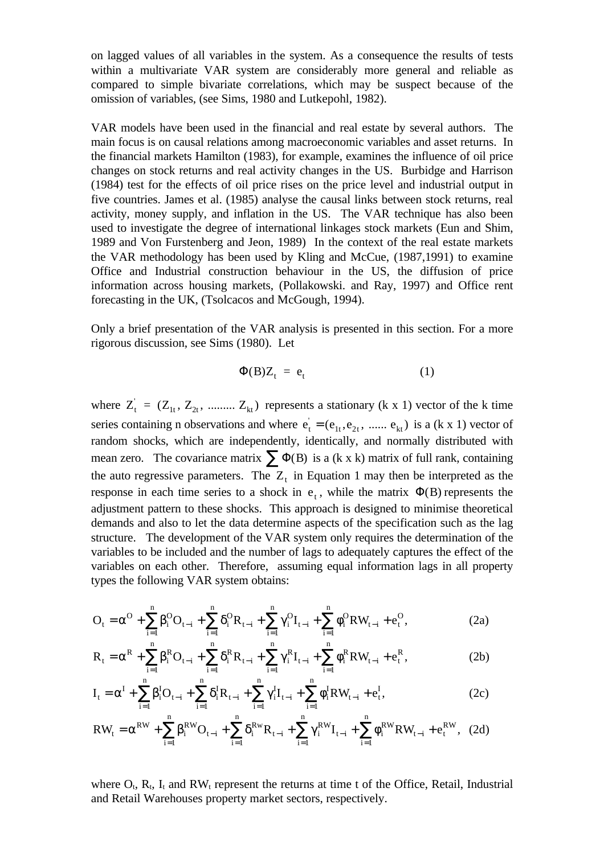on lagged values of all variables in the system. As a consequence the results of tests within a multivariate VAR system are considerably more general and reliable as compared to simple bivariate correlations, which may be suspect because of the omission of variables, (see Sims, 1980 and Lutkepohl, 1982).

VAR models have been used in the financial and real estate by several authors. The main focus is on causal relations among macroeconomic variables and asset returns. In the financial markets Hamilton (1983), for example, examines the influence of oil price changes on stock returns and real activity changes in the US. Burbidge and Harrison (1984) test for the effects of oil price rises on the price level and industrial output in five countries. James et al. (1985) analyse the causal links between stock returns, real activity, money supply, and inflation in the US. The VAR technique has also been used to investigate the degree of international linkages stock markets (Eun and Shim, 1989 and Von Furstenberg and Jeon, 1989) In the context of the real estate markets the VAR methodology has been used by Kling and McCue, (1987,1991) to examine Office and Industrial construction behaviour in the US, the diffusion of price information across housing markets, (Pollakowski. and Ray, 1997) and Office rent forecasting in the UK, (Tsolcacos and McGough, 1994).

Only a brief presentation of the VAR analysis is presented in this section. For a more rigorous discussion, see Sims (1980). Let

$$
\Phi(B)Z_t = e_t \tag{1}
$$

where  $Z_t^{\prime} = (Z_{1t}, Z_{2t}, \dots, Z_{kt})$  represents a stationary (k x 1) vector of the k time series containing n observations and where  $e_t = (e_{1t}, e_{2t}, \dots, e_{kt})$  is a (k x 1) vector of random shocks, which are independently, identically, and normally distributed with mean zero. The covariance matrix  $\sum \Phi(B)$  is a (k x k) matrix of full rank, containing the auto regressive parameters. The  $Z_t$  in Equation 1 may then be interpreted as the response in each time series to a shock in  $e_t$ , while the matrix  $\Phi(B)$  represents the adjustment pattern to these shocks. This approach is designed to minimise theoretical demands and also to let the data determine aspects of the specification such as the lag structure. The development of the VAR system only requires the determination of the variables to be included and the number of lags to adequately captures the effect of the variables on each other. Therefore, assuming equal information lags in all property types the following VAR system obtains:

$$
O_{t} = \alpha^{O} + \sum_{i=1}^{n} \beta_{i}^{O} O_{t-i} + \sum_{i=1}^{n} \delta_{i}^{O} R_{t-i} + \sum_{i=1}^{n} \gamma_{i}^{O} I_{t-i} + \sum_{i=1}^{n} \phi_{i}^{O} R W_{t-i} + e_{t}^{O},
$$
\n(2a)

$$
R_{t} = \alpha^{R} + \sum_{i=1}^{n} \beta_{i}^{R} O_{t-i} + \sum_{i=1}^{n} \delta_{i}^{R} R_{t-i} + \sum_{i=1}^{n} \gamma_{i}^{R} I_{t-i} + \sum_{i=1}^{n} \phi_{i}^{R} R W_{t-i} + e_{t}^{R},
$$
(2b)

$$
I_{t} = \alpha^{I} + \sum_{i=1}^{n} \beta_{i}^{I} O_{t-i} + \sum_{i=1}^{n} \delta_{i}^{I} R_{t-i} + \sum_{i=1}^{n} \gamma_{i}^{I} I_{t-i} + \sum_{i=1}^{n} \phi_{i}^{I} R W_{t-i} + e_{t}^{I},
$$
(2c)

$$
RW_{t} = \alpha^{RW} + \sum_{i=1}^{n} \beta_{i}^{RW} O_{t-i} + \sum_{i=1}^{n} \delta_{i}^{RW} R_{t-i} + \sum_{i=1}^{n} \gamma_{i}^{RW} I_{t-i} + \sum_{i=1}^{n} \phi_{i}^{RW} RW_{t-i} + e_{t}^{RW},
$$
 (2d)

where  $O_t$ ,  $R_t$ ,  $I_t$  and  $RW_t$  represent the returns at time t of the Office, Retail, Industrial and Retail Warehouses property market sectors, respectively.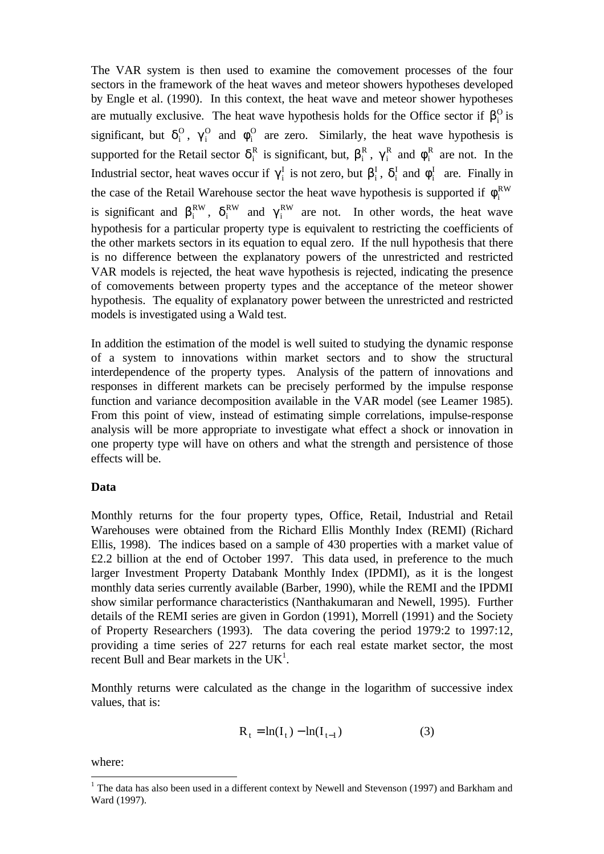The VAR system is then used to examine the comovement processes of the four sectors in the framework of the heat waves and meteor showers hypotheses developed by Engle et al. (1990). In this context, the heat wave and meteor shower hypotheses are mutually exclusive. The heat wave hypothesis holds for the Office sector if  $\beta_i^0$  is significant, but  $\delta_i^0$ ,  $\gamma_i^0$  and  $\phi_i^0$  are zero. Similarly, the heat wave hypothesis is supported for the Retail sector  $\delta_i^R$  is significant, but,  $\beta_i^R$ ,  $\gamma_i^R$  and  $\phi_i^R$  are not. In the Industrial sector, heat waves occur if  $\gamma_i^I$  is not zero, but  $\beta_i^I$ ,  $\delta_i^I$  and  $\phi_i^I$  are. Finally in the case of the Retail Warehouse sector the heat wave hypothesis is supported if  $\phi_i^{RW}$ is significant and  $\beta_i^{RW}$ ,  $\delta_i^{RW}$  and  $\gamma_i^{RW}$  are not. In other words, the heat wave hypothesis for a particular property type is equivalent to restricting the coefficients of the other markets sectors in its equation to equal zero. If the null hypothesis that there is no difference between the explanatory powers of the unrestricted and restricted VAR models is rejected, the heat wave hypothesis is rejected, indicating the presence of comovements between property types and the acceptance of the meteor shower hypothesis. The equality of explanatory power between the unrestricted and restricted models is investigated using a Wald test.

In addition the estimation of the model is well suited to studying the dynamic response of a system to innovations within market sectors and to show the structural interdependence of the property types. Analysis of the pattern of innovations and responses in different markets can be precisely performed by the impulse response function and variance decomposition available in the VAR model (see Leamer 1985). From this point of view, instead of estimating simple correlations, impulse-response analysis will be more appropriate to investigate what effect a shock or innovation in one property type will have on others and what the strength and persistence of those effects will be.

## **Data**

Monthly returns for the four property types, Office, Retail, Industrial and Retail Warehouses were obtained from the Richard Ellis Monthly Index (REMI) (Richard Ellis, 1998). The indices based on a sample of 430 properties with a market value of £2.2 billion at the end of October 1997. This data used, in preference to the much larger Investment Property Databank Monthly Index (IPDMI), as it is the longest monthly data series currently available (Barber, 1990), while the REMI and the IPDMI show similar performance characteristics (Nanthakumaran and Newell, 1995). Further details of the REMI series are given in Gordon (1991), Morrell (1991) and the Society of Property Researchers (1993). The data covering the period 1979:2 to 1997:12, providing a time series of 227 returns for each real estate market sector, the most recent Bull and Bear markets in the  $UK<sup>1</sup>$ .

Monthly returns were calculated as the change in the logarithm of successive index values, that is:

$$
R_{t} = \ln(I_{t}) - \ln(I_{t-1})
$$
 (3)

where:

-

<sup>&</sup>lt;sup>1</sup> The data has also been used in a different context by Newell and Stevenson (1997) and Barkham and Ward (1997).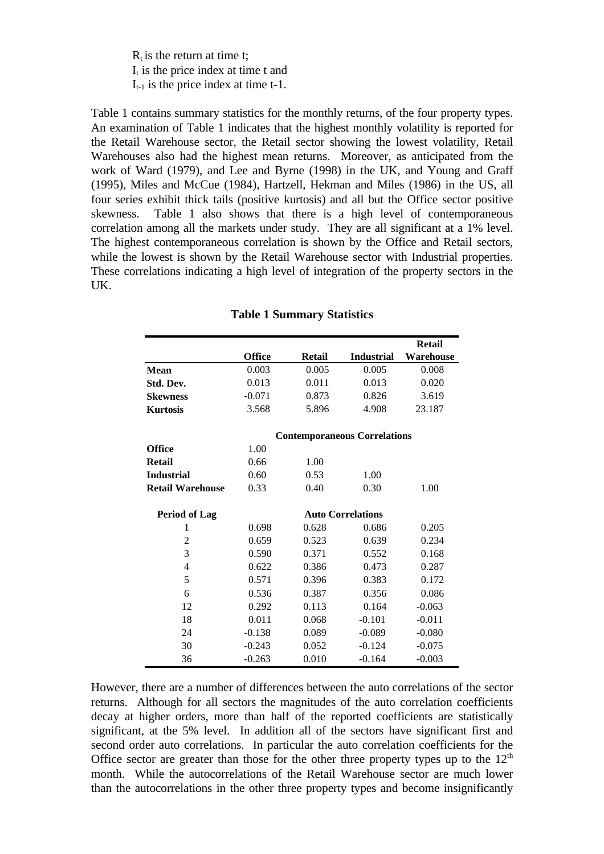$R_t$  is the return at time t:  $I_t$  is the price index at time t and  $I_{t-1}$  is the price index at time t-1.

Table 1 contains summary statistics for the monthly returns, of the four property types. An examination of Table 1 indicates that the highest monthly volatility is reported for the Retail Warehouse sector, the Retail sector showing the lowest volatility, Retail Warehouses also had the highest mean returns. Moreover, as anticipated from the work of Ward (1979), and Lee and Byrne (1998) in the UK, and Young and Graff (1995), Miles and McCue (1984), Hartzell, Hekman and Miles (1986) in the US, all four series exhibit thick tails (positive kurtosis) and all but the Office sector positive skewness. Table 1 also shows that there is a high level of contemporaneous correlation among all the markets under study. They are all significant at a 1% level. The highest contemporaneous correlation is shown by the Office and Retail sectors, while the lowest is shown by the Retail Warehouse sector with Industrial properties. These correlations indicating a high level of integration of the property sectors in the UK.

|                         |               |               |                                     | <b>Retail</b> |
|-------------------------|---------------|---------------|-------------------------------------|---------------|
|                         | <b>Office</b> | <b>Retail</b> | <b>Industrial</b>                   | Warehouse     |
| <b>Mean</b>             | 0.003         | 0.005         | 0.005                               | 0.008         |
| Std. Dev.               | 0.013         | 0.011         | 0.013                               | 0.020         |
| <b>Skewness</b>         | $-0.071$      | 0.873         | 0.826                               | 3.619         |
| <b>Kurtosis</b>         | 3.568         | 5.896         | 4.908                               | 23.187        |
|                         |               |               | <b>Contemporaneous Correlations</b> |               |
| <b>Office</b>           | 1.00          |               |                                     |               |
| <b>Retail</b>           | 0.66          | 1.00          |                                     |               |
| <b>Industrial</b>       | 0.60          | 0.53          | 1.00                                |               |
| <b>Retail Warehouse</b> | 0.33          | 0.40          | 0.30                                | 1.00          |
| <b>Period of Lag</b>    |               |               | <b>Auto Correlations</b>            |               |
| 1                       | 0.698         | 0.628         | 0.686                               | 0.205         |
| $\overline{2}$          | 0.659         | 0.523         | 0.639                               | 0.234         |
| 3                       | 0.590         | 0.371         | 0.552                               | 0.168         |
| $\overline{4}$          | 0.622         | 0.386         | 0.473                               | 0.287         |
| 5                       | 0.571         | 0.396         | 0.383                               | 0.172         |
| 6                       | 0.536         | 0.387         | 0.356                               | 0.086         |
| 12                      | 0.292         | 0.113         | 0.164                               | $-0.063$      |
| 18                      | 0.011         | 0.068         | $-0.101$                            | $-0.011$      |
| 24                      | $-0.138$      | 0.089         | $-0.089$                            | $-0.080$      |
| 30                      | $-0.243$      | 0.052         | $-0.124$                            | $-0.075$      |
| 36                      | $-0.263$      | 0.010         | $-0.164$                            | $-0.003$      |

## **Table 1 Summary Statistics**

However, there are a number of differences between the auto correlations of the sector returns. Although for all sectors the magnitudes of the auto correlation coefficients decay at higher orders, more than half of the reported coefficients are statistically significant, at the 5% level. In addition all of the sectors have significant first and second order auto correlations. In particular the auto correlation coefficients for the Office sector are greater than those for the other three property types up to the  $12<sup>th</sup>$ month. While the autocorrelations of the Retail Warehouse sector are much lower than the autocorrelations in the other three property types and become insignificantly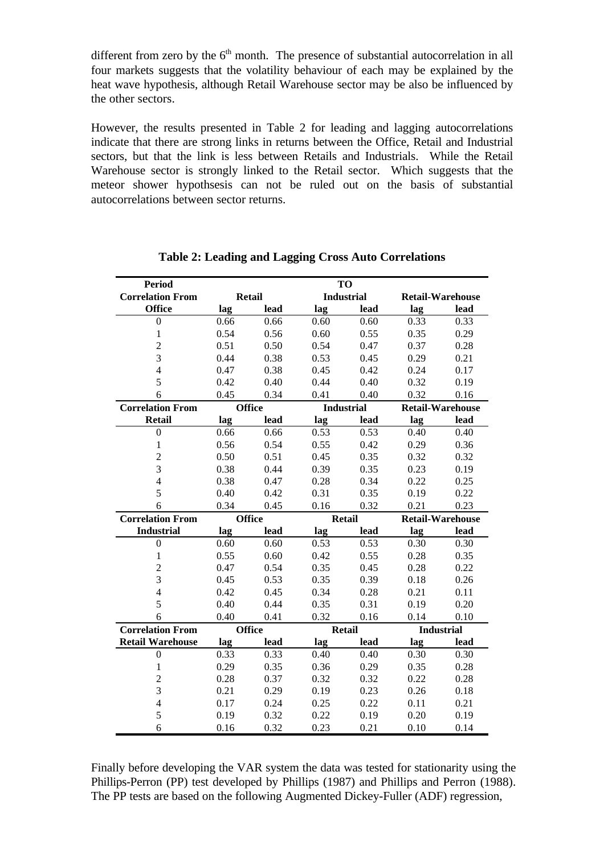different from zero by the  $6<sup>th</sup>$  month. The presence of substantial autocorrelation in all four markets suggests that the volatility behaviour of each may be explained by the heat wave hypothesis, although Retail Warehouse sector may be also be influenced by the other sectors.

However, the results presented in Table 2 for leading and lagging autocorrelations indicate that there are strong links in returns between the Office, Retail and Industrial sectors, but that the link is less between Retails and Industrials. While the Retail Warehouse sector is strongly linked to the Retail sector. Which suggests that the meteor shower hypothsesis can not be ruled out on the basis of substantial autocorrelations between sector returns.

| <b>Period</b>            |               |               |                   | TO                |                         |                         |  |
|--------------------------|---------------|---------------|-------------------|-------------------|-------------------------|-------------------------|--|
| <b>Correlation From</b>  | <b>Retail</b> |               | <b>Industrial</b> |                   | <b>Retail-Warehouse</b> |                         |  |
| <b>Office</b>            | lag           | lead          | lag               | lead              | lag                     | lead                    |  |
| $\boldsymbol{0}$         | 0.66          | 0.66          | 0.60              | 0.60              | 0.33                    | 0.33                    |  |
| $\mathbf{1}$             | 0.54          | 0.56          | 0.60              | 0.55              | 0.35                    | 0.29                    |  |
| $\overline{c}$           | 0.51          | 0.50          | 0.54              | 0.47              | 0.37                    | 0.28                    |  |
| 3                        | 0.44          | 0.38          | 0.53              | 0.45              | 0.29                    | 0.21                    |  |
| $\overline{\mathcal{L}}$ | 0.47          | 0.38          | 0.45              | 0.42              | 0.24                    | 0.17                    |  |
| 5                        | 0.42          | 0.40          | 0.44              | 0.40              | 0.32                    | 0.19                    |  |
| 6                        | 0.45          | 0.34          | 0.41              | 0.40              | 0.32                    | 0.16                    |  |
| <b>Correlation From</b>  |               | <b>Office</b> |                   | <b>Industrial</b> |                         | <b>Retail-Warehouse</b> |  |
| <b>Retail</b>            | lag           | lead          | lag               | lead              | lag                     | lead                    |  |
| $\overline{0}$           | 0.66          | 0.66          | 0.53              | 0.53              | 0.40                    | 0.40                    |  |
| $\mathbf{1}$             | 0.56          | 0.54          | 0.55              | 0.42              | 0.29                    | 0.36                    |  |
| $\overline{c}$           | 0.50          | 0.51          | 0.45              | 0.35              | 0.32                    | 0.32                    |  |
| 3                        | 0.38          | 0.44          | 0.39              | 0.35              | 0.23                    | 0.19                    |  |
| $\overline{4}$           | 0.38          | 0.47          | 0.28              | 0.34              | 0.22                    | 0.25                    |  |
| 5                        | 0.40          | 0.42          | 0.31              | 0.35              | 0.19                    | 0.22                    |  |
| 6                        | 0.34          | 0.45          | 0.16              | 0.32              | 0.21                    | 0.23                    |  |
| <b>Correlation From</b>  |               | <b>Office</b> |                   | <b>Retail</b>     |                         | <b>Retail-Warehouse</b> |  |
| <b>Industrial</b>        | lag           | lead          | lag               | lead              | lag                     | lead                    |  |
| $\boldsymbol{0}$         | 0.60          | 0.60          | 0.53              | 0.53              | 0.30                    | 0.30                    |  |
| $\mathbf{1}$             | 0.55          | 0.60          | 0.42              | 0.55              | 0.28                    | 0.35                    |  |
| $\overline{c}$           | 0.47          | 0.54          | 0.35              | 0.45              | 0.28                    | 0.22                    |  |
| 3                        | 0.45          | 0.53          | 0.35              | 0.39              | 0.18                    | 0.26                    |  |
| $\overline{4}$           | 0.42          | 0.45          | 0.34              | 0.28              | 0.21                    | 0.11                    |  |
| 5                        | 0.40          | 0.44          | 0.35              | 0.31              | 0.19                    | 0.20                    |  |
| 6                        | 0.40          | 0.41          | 0.32              | 0.16              | 0.14                    | 0.10                    |  |
| <b>Correlation From</b>  |               | <b>Office</b> |                   | <b>Retail</b>     |                         | <b>Industrial</b>       |  |
| <b>Retail Warehouse</b>  | lag           | lead          | lag               | lead              | lag                     | lead                    |  |
| $\boldsymbol{0}$         | 0.33          | 0.33          | 0.40              | 0.40              | 0.30                    | 0.30                    |  |
| $\mathbf{1}$             | 0.29          | 0.35          | 0.36              | 0.29              | 0.35                    | 0.28                    |  |
| $\overline{2}$           | 0.28          | 0.37          | 0.32              | 0.32              | 0.22                    | 0.28                    |  |
| 3                        | 0.21          | 0.29          | 0.19              | 0.23              | 0.26                    | 0.18                    |  |
| $\overline{4}$           | 0.17          | 0.24          | 0.25              | 0.22              | 0.11                    | 0.21                    |  |
| 5                        | 0.19          | 0.32          | 0.22              | 0.19              | 0.20                    | 0.19                    |  |
| 6                        | 0.16          | 0.32          | 0.23              | 0.21              | 0.10                    | 0.14                    |  |

# **Table 2: Leading and Lagging Cross Auto Correlations**

Finally before developing the VAR system the data was tested for stationarity using the Phillips-Perron (PP) test developed by Phillips (1987) and Phillips and Perron (1988). The PP tests are based on the following Augmented Dickey-Fuller (ADF) regression,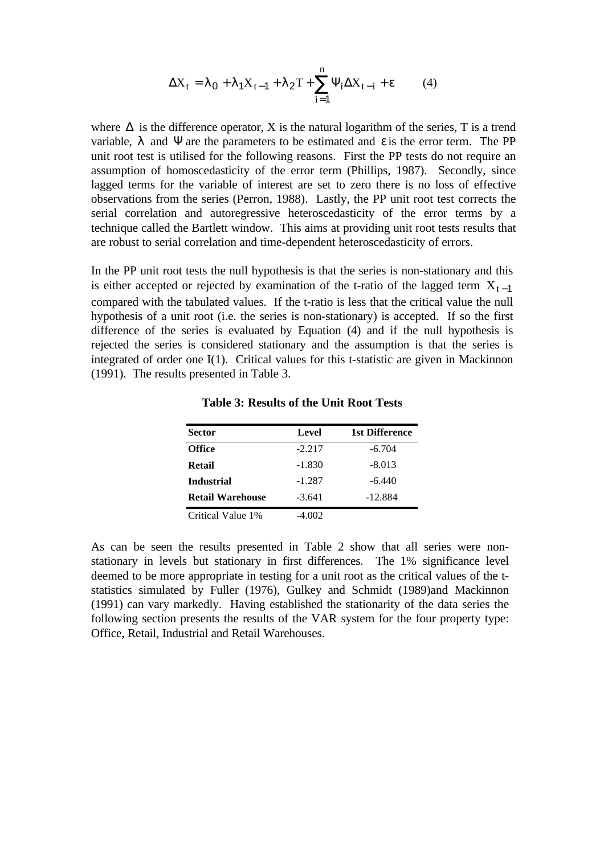$$
\Delta X_t = \lambda_0 + \lambda_1 X_{t-1} + \lambda_2 T + \sum_{i=1}^n \Psi_i \Delta X_{t-i} + \varepsilon \tag{4}
$$

where  $\Delta$  is the difference operator, X is the natural logarithm of the series, T is a trend variable,  $\lambda$  and  $\Psi$  are the parameters to be estimated and  $\varepsilon$  is the error term. The PP unit root test is utilised for the following reasons. First the PP tests do not require an assumption of homoscedasticity of the error term (Phillips, 1987). Secondly, since lagged terms for the variable of interest are set to zero there is no loss of effective observations from the series (Perron, 1988). Lastly, the PP unit root test corrects the serial correlation and autoregressive heteroscedasticity of the error terms by a technique called the Bartlett window. This aims at providing unit root tests results that are robust to serial correlation and time-dependent heteroscedasticity of errors.

In the PP unit root tests the null hypothesis is that the series is non-stationary and this is either accepted or rejected by examination of the t-ratio of the lagged term  $X_{t-1}$ compared with the tabulated values. If the t-ratio is less that the critical value the null hypothesis of a unit root (i.e. the series is non-stationary) is accepted. If so the first difference of the series is evaluated by Equation (4) and if the null hypothesis is rejected the series is considered stationary and the assumption is that the series is integrated of order one I(1). Critical values for this t-statistic are given in Mackinnon (1991). The results presented in Table 3.

| <b>Sector</b>           | Level    | 1st Difference |
|-------------------------|----------|----------------|
| <b>Office</b>           | $-2.217$ | $-6.704$       |
| Retail                  | $-1.830$ | $-8.013$       |
| <b>Industrial</b>       | $-1.287$ | $-6.440$       |
| <b>Retail Warehouse</b> | $-3.641$ | $-12.884$      |
| Critical Value 1%       | -4.002   |                |

**Table 3: Results of the Unit Root Tests**

As can be seen the results presented in Table 2 show that all series were nonstationary in levels but stationary in first differences. The 1% significance level deemed to be more appropriate in testing for a unit root as the critical values of the tstatistics simulated by Fuller (1976), Gulkey and Schmidt (1989)and Mackinnon (1991) can vary markedly. Having established the stationarity of the data series the following section presents the results of the VAR system for the four property type: Office, Retail, Industrial and Retail Warehouses.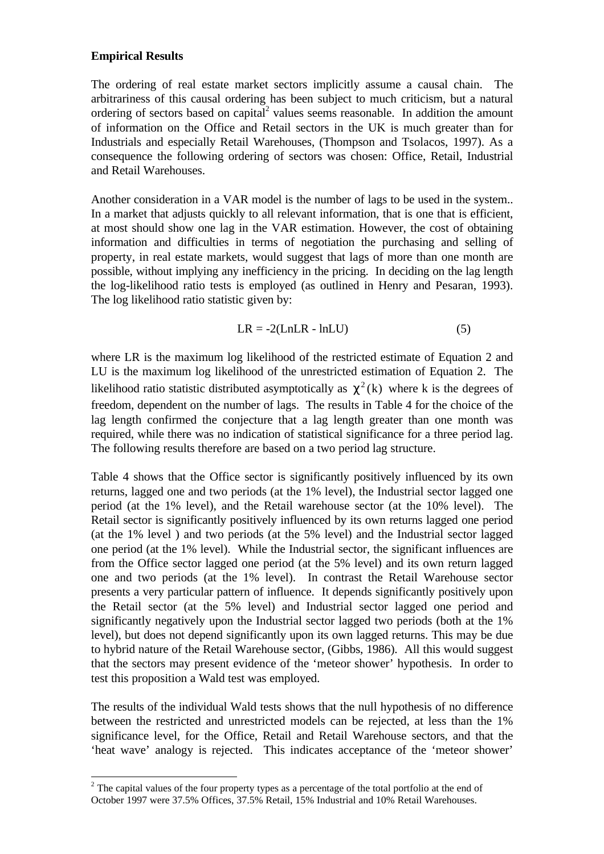## **Empirical Results**

-

The ordering of real estate market sectors implicitly assume a causal chain. The arbitrariness of this causal ordering has been subject to much criticism, but a natural ordering of sectors based on capital<sup>2</sup> values seems reasonable. In addition the amount of information on the Office and Retail sectors in the UK is much greater than for Industrials and especially Retail Warehouses, (Thompson and Tsolacos, 1997). As a consequence the following ordering of sectors was chosen: Office, Retail, Industrial and Retail Warehouses.

Another consideration in a VAR model is the number of lags to be used in the system.. In a market that adjusts quickly to all relevant information, that is one that is efficient, at most should show one lag in the VAR estimation. However, the cost of obtaining information and difficulties in terms of negotiation the purchasing and selling of property, in real estate markets, would suggest that lags of more than one month are possible, without implying any inefficiency in the pricing. In deciding on the lag length the log-likelihood ratio tests is employed (as outlined in Henry and Pesaran, 1993). The log likelihood ratio statistic given by:

$$
LR = -2(LnLR - lnLU)
$$
 (5)

where LR is the maximum log likelihood of the restricted estimate of Equation 2 and LU is the maximum log likelihood of the unrestricted estimation of Equation 2. The likelihood ratio statistic distributed asymptotically as  $\chi^2(k)$  where k is the degrees of freedom, dependent on the number of lags. The results in Table 4 for the choice of the lag length confirmed the conjecture that a lag length greater than one month was required, while there was no indication of statistical significance for a three period lag. The following results therefore are based on a two period lag structure.

Table 4 shows that the Office sector is significantly positively influenced by its own returns, lagged one and two periods (at the 1% level), the Industrial sector lagged one period (at the 1% level), and the Retail warehouse sector (at the 10% level). The Retail sector is significantly positively influenced by its own returns lagged one period (at the 1% level ) and two periods (at the 5% level) and the Industrial sector lagged one period (at the 1% level). While the Industrial sector, the significant influences are from the Office sector lagged one period (at the 5% level) and its own return lagged one and two periods (at the 1% level). In contrast the Retail Warehouse sector presents a very particular pattern of influence. It depends significantly positively upon the Retail sector (at the 5% level) and Industrial sector lagged one period and significantly negatively upon the Industrial sector lagged two periods (both at the 1% level), but does not depend significantly upon its own lagged returns. This may be due to hybrid nature of the Retail Warehouse sector, (Gibbs, 1986). All this would suggest that the sectors may present evidence of the 'meteor shower' hypothesis. In order to test this proposition a Wald test was employed.

The results of the individual Wald tests shows that the null hypothesis of no difference between the restricted and unrestricted models can be rejected, at less than the 1% significance level, for the Office, Retail and Retail Warehouse sectors, and that the 'heat wave' analogy is rejected. This indicates acceptance of the 'meteor shower'

 $2<sup>2</sup>$  The capital values of the four property types as a percentage of the total portfolio at the end of October 1997 were 37.5% Offices, 37.5% Retail, 15% Industrial and 10% Retail Warehouses.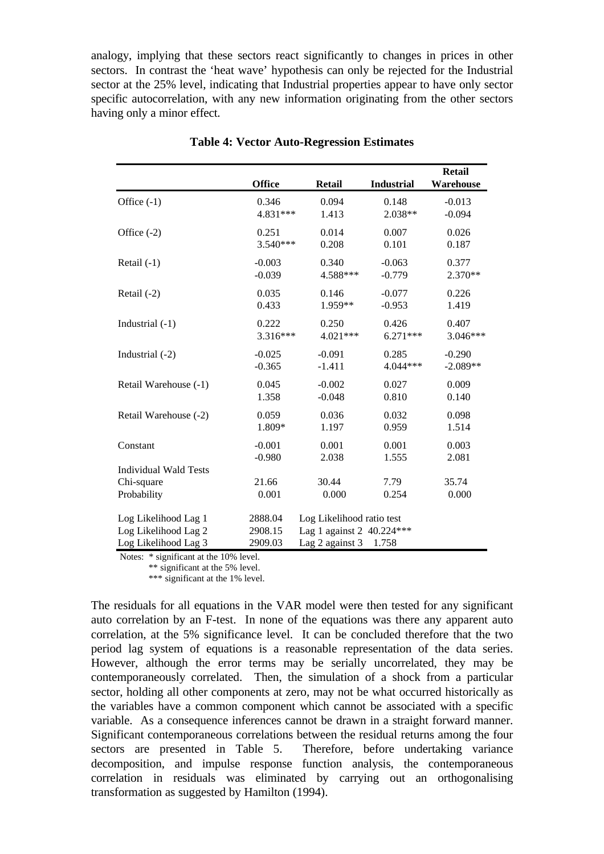analogy, implying that these sectors react significantly to changes in prices in other sectors. In contrast the 'heat wave' hypothesis can only be rejected for the Industrial sector at the 25% level, indicating that Industrial properties appear to have only sector specific autocorrelation, with any new information originating from the other sectors having only a minor effect.

|                              | <b>Office</b> | <b>Retail</b>             | <b>Industrial</b> | Retail<br>Warehouse |  |  |
|------------------------------|---------------|---------------------------|-------------------|---------------------|--|--|
| Office $(-1)$                | 0.346         | 0.094                     | 0.148             | $-0.013$            |  |  |
|                              | 4.831***      | 1.413                     | 2.038**           | $-0.094$            |  |  |
| Office $(-2)$                | 0.251         | 0.014                     | 0.007             | 0.026               |  |  |
|                              | 3.540***      | 0.208                     | 0.101             | 0.187               |  |  |
| Retail $(-1)$                | $-0.003$      | 0.340                     | $-0.063$          | 0.377               |  |  |
|                              | $-0.039$      | 4.588***                  | $-0.779$          | 2.370**             |  |  |
| Retail $(-2)$                | 0.035         | 0.146                     | $-0.077$          | 0.226               |  |  |
|                              | 0.433         | 1.959**                   | $-0.953$          | 1.419               |  |  |
| Industrial $(-1)$            | 0.222         | 0.250                     | 0.426             | 0.407               |  |  |
|                              | $3.316***$    | 4.021***                  | $6.271***$        | 3.046***            |  |  |
| Industrial (-2)              | $-0.025$      | $-0.091$                  | 0.285             | $-0.290$            |  |  |
|                              | $-0.365$      | $-1.411$                  | 4.044***          | $-2.089**$          |  |  |
| Retail Warehouse (-1)        | 0.045         | $-0.002$                  | 0.027             | 0.009               |  |  |
|                              | 1.358         | $-0.048$                  | 0.810             | 0.140               |  |  |
| Retail Warehouse (-2)        | 0.059         | 0.036                     | 0.032             | 0.098               |  |  |
|                              | 1.809*        | 1.197                     | 0.959             | 1.514               |  |  |
| Constant                     | $-0.001$      | 0.001                     | 0.001             | 0.003               |  |  |
|                              | $-0.980$      | 2.038                     | 1.555             | 2.081               |  |  |
| <b>Individual Wald Tests</b> |               |                           |                   |                     |  |  |
| Chi-square                   | 21.66         | 30.44                     | 7.79              | 35.74               |  |  |
| Probability                  | 0.001         | 0.000                     | 0.254             | 0.000               |  |  |
| Log Likelihood Lag 1         | 2888.04       | Log Likelihood ratio test |                   |                     |  |  |
| Log Likelihood Lag 2         | 2908.15       | Lag 1 against 2 40.224*** |                   |                     |  |  |
| Log Likelihood Lag 3         | 2909.03       | Lag 2 against 3<br>1.758  |                   |                     |  |  |

**Table 4: Vector Auto-Regression Estimates**

Notes: \* significant at the 10% level.

\*\* significant at the 5% level.

\*\*\* significant at the 1% level.

The residuals for all equations in the VAR model were then tested for any significant auto correlation by an F-test. In none of the equations was there any apparent auto correlation, at the 5% significance level. It can be concluded therefore that the two period lag system of equations is a reasonable representation of the data series. However, although the error terms may be serially uncorrelated, they may be contemporaneously correlated. Then, the simulation of a shock from a particular sector, holding all other components at zero, may not be what occurred historically as the variables have a common component which cannot be associated with a specific variable. As a consequence inferences cannot be drawn in a straight forward manner. Significant contemporaneous correlations between the residual returns among the four sectors are presented in Table 5. Therefore, before undertaking variance decomposition, and impulse response function analysis, the contemporaneous correlation in residuals was eliminated by carrying out an orthogonalising transformation as suggested by Hamilton (1994).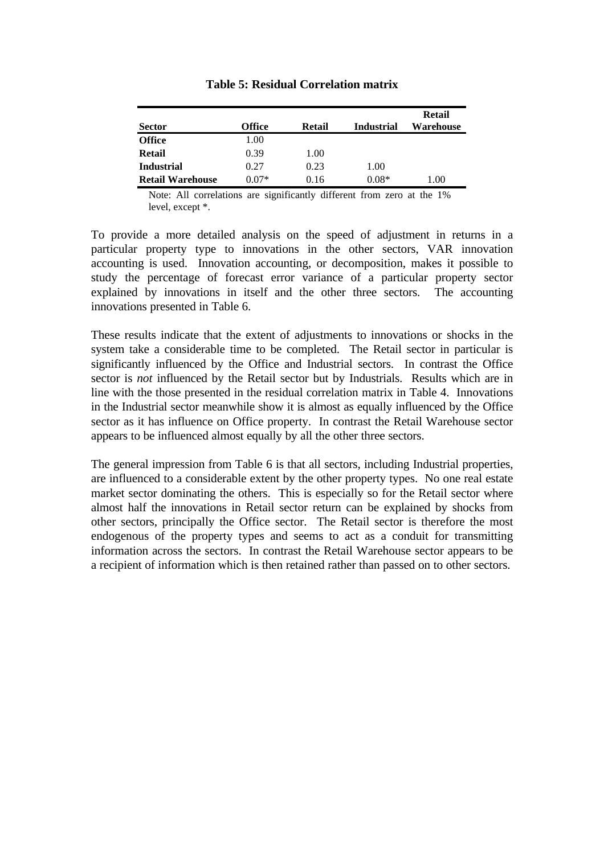| <b>Sector</b>           | <b>Office</b> | Retail | <b>Industrial</b> | Retail<br>Warehouse |
|-------------------------|---------------|--------|-------------------|---------------------|
| <b>Office</b>           | 1.00          |        |                   |                     |
| Retail                  | 0.39          | 1.00   |                   |                     |
| <b>Industrial</b>       | 0.27          | 0.23   | 1.00              |                     |
| <b>Retail Warehouse</b> | $0.07*$       | 0.16   | $0.08*$           | 1.00                |

#### **Table 5: Residual Correlation matrix**

Note: All correlations are significantly different from zero at the 1% level, except \*.

To provide a more detailed analysis on the speed of adjustment in returns in a particular property type to innovations in the other sectors, VAR innovation accounting is used. Innovation accounting, or decomposition, makes it possible to study the percentage of forecast error variance of a particular property sector explained by innovations in itself and the other three sectors. The accounting innovations presented in Table 6.

These results indicate that the extent of adjustments to innovations or shocks in the system take a considerable time to be completed. The Retail sector in particular is significantly influenced by the Office and Industrial sectors. In contrast the Office sector is *not* influenced by the Retail sector but by Industrials. Results which are in line with the those presented in the residual correlation matrix in Table 4. Innovations in the Industrial sector meanwhile show it is almost as equally influenced by the Office sector as it has influence on Office property. In contrast the Retail Warehouse sector appears to be influenced almost equally by all the other three sectors.

The general impression from Table 6 is that all sectors, including Industrial properties, are influenced to a considerable extent by the other property types. No one real estate market sector dominating the others. This is especially so for the Retail sector where almost half the innovations in Retail sector return can be explained by shocks from other sectors, principally the Office sector. The Retail sector is therefore the most endogenous of the property types and seems to act as a conduit for transmitting information across the sectors. In contrast the Retail Warehouse sector appears to be a recipient of information which is then retained rather than passed on to other sectors.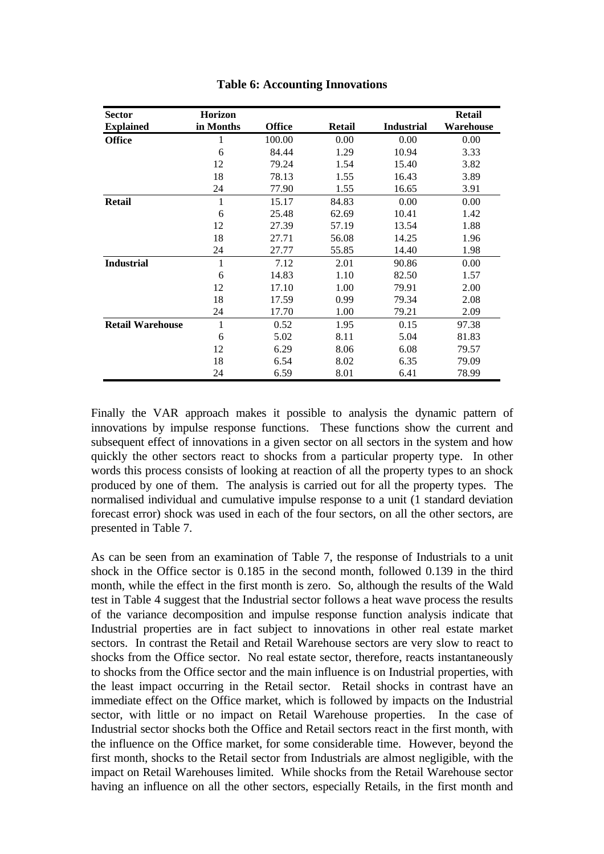| <b>Sector</b>           | <b>Horizon</b> |               |               |                   | <b>Retail</b> |
|-------------------------|----------------|---------------|---------------|-------------------|---------------|
| <b>Explained</b>        | in Months      | <b>Office</b> | <b>Retail</b> | <b>Industrial</b> | Warehouse     |
| <b>Office</b>           | 1              | 100.00        | 0.00          | 0.00              | 0.00          |
|                         | 6              | 84.44         | 1.29          | 10.94             | 3.33          |
|                         | 12             | 79.24         | 1.54          | 15.40             | 3.82          |
|                         | 18             | 78.13         | 1.55          | 16.43             | 3.89          |
|                         | 24             | 77.90         | 1.55          | 16.65             | 3.91          |
| <b>Retail</b>           | 1              | 15.17         | 84.83         | 0.00              | 0.00          |
|                         | 6              | 25.48         | 62.69         | 10.41             | 1.42          |
|                         | 12             | 27.39         | 57.19         | 13.54             | 1.88          |
|                         | 18             | 27.71         | 56.08         | 14.25             | 1.96          |
|                         | 24             | 27.77         | 55.85         | 14.40             | 1.98          |
| <b>Industrial</b>       | 1              | 7.12          | 2.01          | 90.86             | 0.00          |
|                         | 6              | 14.83         | 1.10          | 82.50             | 1.57          |
|                         | 12             | 17.10         | 1.00          | 79.91             | 2.00          |
|                         | 18             | 17.59         | 0.99          | 79.34             | 2.08          |
|                         | 24             | 17.70         | 1.00          | 79.21             | 2.09          |
| <b>Retail Warehouse</b> | 1              | 0.52          | 1.95          | 0.15              | 97.38         |
|                         | 6              | 5.02          | 8.11          | 5.04              | 81.83         |
|                         | 12             | 6.29          | 8.06          | 6.08              | 79.57         |
|                         | 18             | 6.54          | 8.02          | 6.35              | 79.09         |
|                         | 24             | 6.59          | 8.01          | 6.41              | 78.99         |

**Table 6: Accounting Innovations**

Finally the VAR approach makes it possible to analysis the dynamic pattern of innovations by impulse response functions. These functions show the current and subsequent effect of innovations in a given sector on all sectors in the system and how quickly the other sectors react to shocks from a particular property type. In other words this process consists of looking at reaction of all the property types to an shock produced by one of them. The analysis is carried out for all the property types. The normalised individual and cumulative impulse response to a unit (1 standard deviation forecast error) shock was used in each of the four sectors, on all the other sectors, are presented in Table 7.

As can be seen from an examination of Table 7, the response of Industrials to a unit shock in the Office sector is 0.185 in the second month, followed 0.139 in the third month, while the effect in the first month is zero. So, although the results of the Wald test in Table 4 suggest that the Industrial sector follows a heat wave process the results of the variance decomposition and impulse response function analysis indicate that Industrial properties are in fact subject to innovations in other real estate market sectors. In contrast the Retail and Retail Warehouse sectors are very slow to react to shocks from the Office sector. No real estate sector, therefore, reacts instantaneously to shocks from the Office sector and the main influence is on Industrial properties, with the least impact occurring in the Retail sector. Retail shocks in contrast have an immediate effect on the Office market, which is followed by impacts on the Industrial sector, with little or no impact on Retail Warehouse properties. In the case of Industrial sector shocks both the Office and Retail sectors react in the first month, with the influence on the Office market, for some considerable time. However, beyond the first month, shocks to the Retail sector from Industrials are almost negligible, with the impact on Retail Warehouses limited. While shocks from the Retail Warehouse sector having an influence on all the other sectors, especially Retails, in the first month and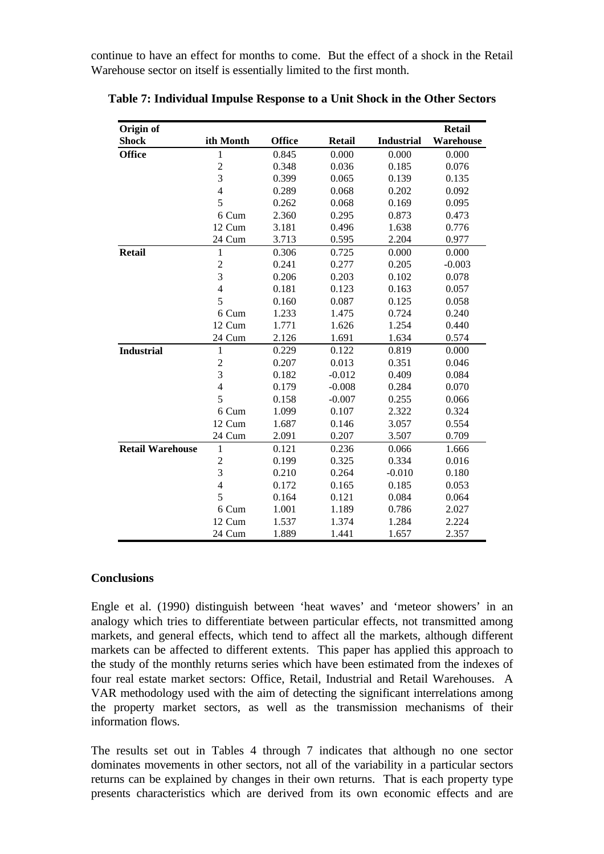continue to have an effect for months to come. But the effect of a shock in the Retail Warehouse sector on itself is essentially limited to the first month.

| Origin of               |                |               |               |                   | <b>Retail</b> |
|-------------------------|----------------|---------------|---------------|-------------------|---------------|
| <b>Shock</b>            | ith Month      | <b>Office</b> | <b>Retail</b> | <b>Industrial</b> | Warehouse     |
| <b>Office</b>           | 1              | 0.845         | 0.000         | 0.000             | 0.000         |
|                         | $\overline{c}$ | 0.348         | 0.036         | 0.185             | 0.076         |
|                         | 3              | 0.399         | 0.065         | 0.139             | 0.135         |
|                         | $\overline{4}$ | 0.289         | 0.068         | 0.202             | 0.092         |
|                         | 5              | 0.262         | 0.068         | 0.169             | 0.095         |
|                         | 6 Cum          | 2.360         | 0.295         | 0.873             | 0.473         |
|                         | 12 Cum         | 3.181         | 0.496         | 1.638             | 0.776         |
|                         | 24 Cum         | 3.713         | 0.595         | 2.204             | 0.977         |
| <b>Retail</b>           | $\mathbf{1}$   | 0.306         | 0.725         | 0.000             | 0.000         |
|                         | $\overline{2}$ | 0.241         | 0.277         | 0.205             | $-0.003$      |
|                         | 3              | 0.206         | 0.203         | 0.102             | 0.078         |
|                         | $\overline{4}$ | 0.181         | 0.123         | 0.163             | 0.057         |
|                         | 5              | 0.160         | 0.087         | 0.125             | 0.058         |
|                         | 6 Cum          | 1.233         | 1.475         | 0.724             | 0.240         |
|                         | 12 Cum         | 1.771         | 1.626         | 1.254             | 0.440         |
|                         | 24 Cum         | 2.126         | 1.691         | 1.634             | 0.574         |
| <b>Industrial</b>       | 1              | 0.229         | 0.122         | 0.819             | 0.000         |
|                         | $\overline{c}$ | 0.207         | 0.013         | 0.351             | 0.046         |
|                         | $\overline{3}$ | 0.182         | $-0.012$      | 0.409             | 0.084         |
|                         | $\overline{4}$ | 0.179         | $-0.008$      | 0.284             | 0.070         |
|                         | 5              | 0.158         | $-0.007$      | 0.255             | 0.066         |
|                         | 6 Cum          | 1.099         | 0.107         | 2.322             | 0.324         |
|                         | 12 Cum         | 1.687         | 0.146         | 3.057             | 0.554         |
|                         | 24 Cum         | 2.091         | 0.207         | 3.507             | 0.709         |
| <b>Retail Warehouse</b> | $\mathbf{1}$   | 0.121         | 0.236         | 0.066             | 1.666         |
|                         | $\overline{c}$ | 0.199         | 0.325         | 0.334             | 0.016         |
|                         | 3              | 0.210         | 0.264         | $-0.010$          | 0.180         |
|                         | $\overline{4}$ | 0.172         | 0.165         | 0.185             | 0.053         |
|                         | 5              | 0.164         | 0.121         | 0.084             | 0.064         |
|                         | 6 Cum          | 1.001         | 1.189         | 0.786             | 2.027         |
|                         | 12 Cum         | 1.537         | 1.374         | 1.284             | 2.224         |
|                         | 24 Cum         | 1.889         | 1.441         | 1.657             | 2.357         |

**Table 7: Individual Impulse Response to a Unit Shock in the Other Sectors**

## **Conclusions**

Engle et al. (1990) distinguish between 'heat waves' and 'meteor showers' in an analogy which tries to differentiate between particular effects, not transmitted among markets, and general effects, which tend to affect all the markets, although different markets can be affected to different extents. This paper has applied this approach to the study of the monthly returns series which have been estimated from the indexes of four real estate market sectors: Office, Retail, Industrial and Retail Warehouses. A VAR methodology used with the aim of detecting the significant interrelations among the property market sectors, as well as the transmission mechanisms of their information flows.

The results set out in Tables 4 through 7 indicates that although no one sector dominates movements in other sectors, not all of the variability in a particular sectors returns can be explained by changes in their own returns. That is each property type presents characteristics which are derived from its own economic effects and are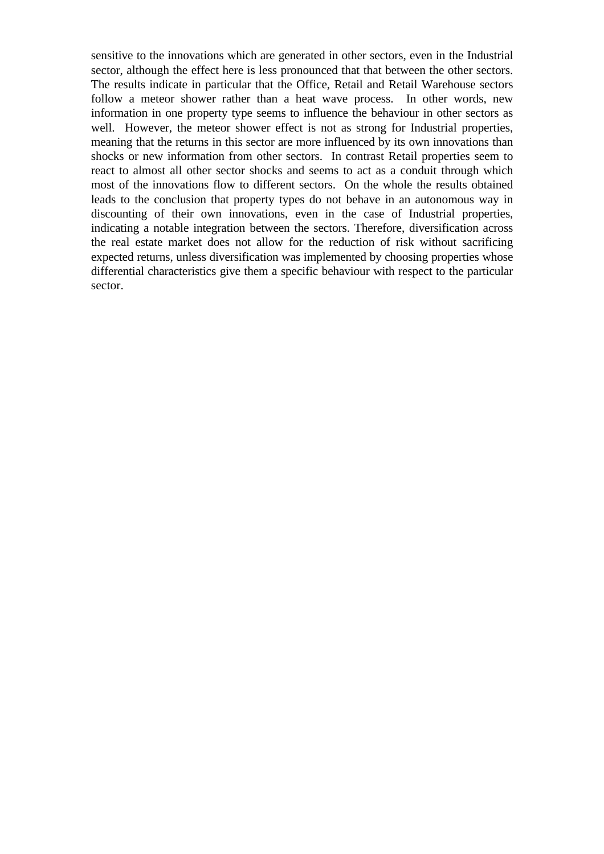sensitive to the innovations which are generated in other sectors, even in the Industrial sector, although the effect here is less pronounced that that between the other sectors. The results indicate in particular that the Office, Retail and Retail Warehouse sectors follow a meteor shower rather than a heat wave process. In other words, new information in one property type seems to influence the behaviour in other sectors as well. However, the meteor shower effect is not as strong for Industrial properties, meaning that the returns in this sector are more influenced by its own innovations than shocks or new information from other sectors. In contrast Retail properties seem to react to almost all other sector shocks and seems to act as a conduit through which most of the innovations flow to different sectors. On the whole the results obtained leads to the conclusion that property types do not behave in an autonomous way in discounting of their own innovations, even in the case of Industrial properties, indicating a notable integration between the sectors. Therefore, diversification across the real estate market does not allow for the reduction of risk without sacrificing expected returns, unless diversification was implemented by choosing properties whose differential characteristics give them a specific behaviour with respect to the particular sector.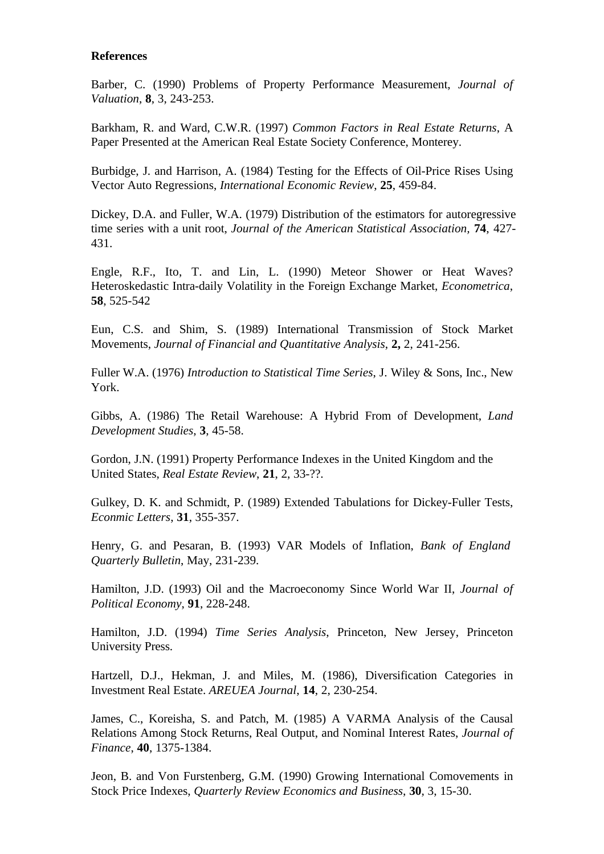#### **References**

Barber, C. (1990) Problems of Property Performance Measurement, *Journal of Valuation*, **8**, 3, 243-253.

Barkham, R. and Ward, C.W.R. (1997) *Common Factors in Real Estate Returns*, A Paper Presented at the American Real Estate Society Conference, Monterey.

Burbidge, J. and Harrison, A. (1984) Testing for the Effects of Oil-Price Rises Using Vector Auto Regressions, *International Economic Review*, **25**, 459-84.

Dickey, D.A. and Fuller, W.A. (1979) Distribution of the estimators for autoregressive time series with a unit root, *Journal of the American Statistical Association,* **74**, 427- 431.

Engle, R.F., Ito, T. and Lin, L. (1990) Meteor Shower or Heat Waves? Heteroskedastic Intra-daily Volatility in the Foreign Exchange Market, *Econometrica*, **58**, 525-542

Eun, C.S. and Shim, S. (1989) International Transmission of Stock Market Movements, *Journal of Financial and Quantitative Analysis*, **2,** 2, 241-256.

Fuller W.A. (1976) *Introduction to Statistical Time Series*, J. Wiley & Sons, Inc., New York.

Gibbs, A. (1986) The Retail Warehouse: A Hybrid From of Development, *Land Development Studies*, **3**, 45-58.

Gordon, J.N. (1991) Property Performance Indexes in the United Kingdom and the United States, *Real Estate Review*, **21**, 2, 33-??.

Gulkey, D. K. and Schmidt, P. (1989) Extended Tabulations for Dickey-Fuller Tests, *Econmic Letters*, **31**, 355-357.

Henry, G. and Pesaran, B. (1993) VAR Models of Inflation, *Bank of England Quarterly Bulletin*, May, 231-239.

Hamilton, J.D. (1993) Oil and the Macroeconomy Since World War II, *Journal of Political Economy*, **91**, 228-248.

Hamilton, J.D. (1994) *Time Series Analysis*, Princeton, New Jersey, Princeton University Press.

Hartzell, D.J., Hekman, J. and Miles, M. (1986), Diversification Categories in Investment Real Estate. *AREUEA Journal*, **14**, 2, 230-254.

James, C., Koreisha, S. and Patch, M. (1985) A VARMA Analysis of the Causal Relations Among Stock Returns, Real Output, and Nominal Interest Rates, *Journal of Finance*, **40**, 1375-1384.

Jeon, B. and Von Furstenberg, G.M. (1990) Growing International Comovements in Stock Price Indexes, *Quarterly Review Economics and Business*, **30**, 3, 15-30.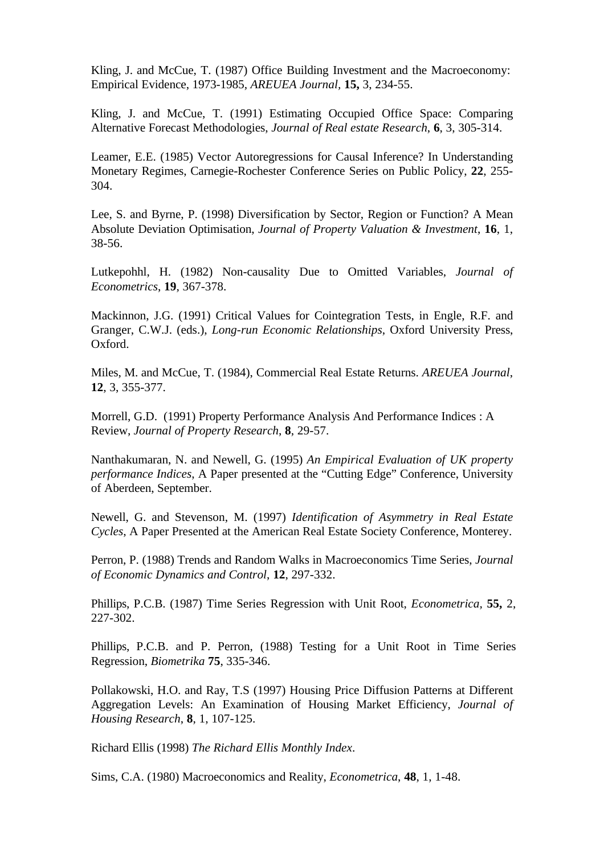Kling, J. and McCue, T. (1987) Office Building Investment and the Macroeconomy: Empirical Evidence, 1973-1985, *AREUEA Journal,* **15,** 3, 234-55.

Kling, J. and McCue, T. (1991) Estimating Occupied Office Space: Comparing Alternative Forecast Methodologies, *Journal of Real estate Research*, **6**, 3, 305-314.

Leamer, E.E. (1985) Vector Autoregressions for Causal Inference? In Understanding Monetary Regimes, Carnegie-Rochester Conference Series on Public Policy, **22**, 255- 304.

Lee, S. and Byrne, P. (1998) Diversification by Sector, Region or Function? A Mean Absolute Deviation Optimisation, *Journal of Property Valuation & Investment*, **16**, 1, 38-56.

Lutkepohhl, H. (1982) Non-causality Due to Omitted Variables, *Journal of Econometrics*, **19**, 367-378.

Mackinnon, J.G. (1991) Critical Values for Cointegration Tests, in Engle, R.F. and Granger, C.W.J. (eds.), *Long-run Economic Relationships*, Oxford University Press, Oxford.

Miles, M. and McCue, T. (1984), Commercial Real Estate Returns. *AREUEA Journal*, **12**, 3, 355-377.

Morrell, G.D. (1991) Property Performance Analysis And Performance Indices : A Review, *Journal of Property Research*, **8**, 29-57.

Nanthakumaran, N. and Newell, G. (1995) *An Empirical Evaluation of UK property performance Indices*, A Paper presented at the "Cutting Edge" Conference, University of Aberdeen, September.

Newell, G. and Stevenson, M. (1997) *Identification of Asymmetry in Real Estate Cycles*, A Paper Presented at the American Real Estate Society Conference, Monterey.

Perron, P. (1988) Trends and Random Walks in Macroeconomics Time Series, *Journal of Economic Dynamics and Control*, **12**, 297-332.

Phillips, P.C.B. (1987) Time Series Regression with Unit Root, *Econometrica,* **55,** 2, 227-302.

Phillips, P.C.B. and P. Perron, (1988) Testing for a Unit Root in Time Series Regression, *Biometrika* **75**, 335-346.

Pollakowski, H.O. and Ray, T.S (1997) Housing Price Diffusion Patterns at Different Aggregation Levels: An Examination of Housing Market Efficiency, *Journal of Housing Research*, **8**, 1, 107-125.

Richard Ellis (1998) *The Richard Ellis Monthly Index*.

Sims, C.A. (1980) Macroeconomics and Reality, *Econometrica*, **48**, 1, 1-48.